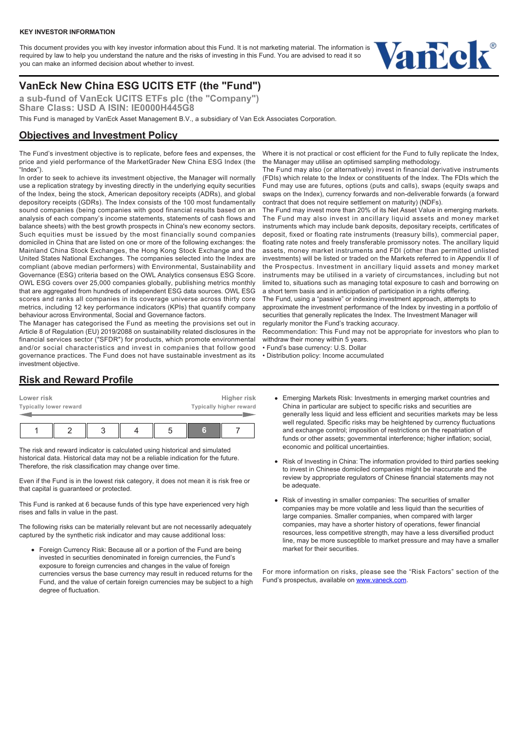#### **KEY INVESTOR INFORMATION**

This document provides you with key investor information about this Fund. It is not marketing material. The information is required by law to help you understand the nature and the risks of investing in this Fund. You are advised to read it so you can make an informed decision about whether to invest.



# **VanEck New China ESG UCITS ETF (the "Fund")**

**a sub-fund of VanEck UCITS ETFs plc (the "Company") Share Class: USD A ISIN: IE0000H445G8**

This Fund is managed by VanEck Asset Management B.V., a subsidiary of Van Eck Associates Corporation.

### **Objectives and Investment Policy**

The Fund's investment objective is to replicate, before fees and expenses, the price and yield performance of the MarketGrader New China ESG Index (the "Index").

In order to seek to achieve its investment objective, the Manager will normally use a replication strategy by investing directly in the underlying equity securities of the Index, being the stock, American depository receipts (ADRs), and global depository receipts (GDRs). The Index consists of the 100 most fundamentally sound companies (being companies with good financial results based on an analysis of each company's income statements, statements of cash flows and balance sheets) with the best growth prospects in China's new economy sectors. Such equities must be issued by the most financially sound companies domiciled in China that are listed on one or more of the following exchanges: the Mainland China Stock Exchanges, the Hong Kong Stock Exchange and the United States National Exchanges. The companies selected into the Index are compliant (above median performers) with Environmental, Sustainability and Governance (ESG) criteria based on the OWL Analytics consensus ESG Score. OWL ESG covers over 25,000 companies globally, publishing metrics monthly that are aggregated from hundreds of independent ESG data sources. OWL ESG scores and ranks all companies in its coverage universe across thirty core metrics, including 12 key performance indicators (KPIs) that quantify company behaviour across Environmental, Social and Governance factors.

The Manager has categorised the Fund as meeting the provisions set out in Article 8 of Regulation (EU) 2019/2088 on sustainability related disclosures in the financial services sector ("SFDR") for products, which promote environmental and/or social characteristics and invest in companies that follow good governance practices. The Fund does not have sustainable investment as its investment objective.

Where it is not practical or cost efficient for the Fund to fully replicate the Index, the Manager may utilise an optimised sampling methodology.

The Fund may also (or alternatively) invest in financial derivative instruments (FDIs) which relate to the Index or constituents of the Index. The FDIs which the Fund may use are futures, options (puts and calls), swaps (equity swaps and swaps on the Index), currency forwards and non-deliverable forwards (a forward contract that does not require settlement on maturity) (NDFs).

The Fund may invest more than 20% of its Net Asset Value in emerging markets. The Fund may also invest in ancillary liquid assets and money market instruments which may include bank deposits, depositary receipts, certificates of deposit, fixed or floating rate instruments (treasury bills), commercial paper, floating rate notes and freely transferable promissory notes. The ancillary liquid assets, money market instruments and FDI (other than permitted unlisted investments) will be listed or traded on the Markets referred to in Appendix II of the Prospectus. Investment in ancillary liquid assets and money market instruments may be utilised in a variety of circumstances, including but not limited to, situations such as managing total exposure to cash and borrowing on a short term basis and in anticipation of participation in a rights offering.

The Fund, using a "passive" or indexing investment approach, attempts to approximate the investment performance of the Index by investing in a portfolio of

securities that generally replicates the Index. The Investment Manager will regularly monitor the Fund's tracking accuracy.

Recommendation: This Fund may not be appropriate for investors who plan to withdraw their money within 5 years.

- Fund's base currency: U.S. Dollar
- Distribution policy: Income accumulated

### **Risk and Reward Profile**

| Lower risk<br>Typically lower reward |  | Higher risk<br>Typically higher reward |   |  |  |  |
|--------------------------------------|--|----------------------------------------|---|--|--|--|
|                                      |  |                                        | 6 |  |  |  |

The risk and reward indicator is calculated using historical and simulated historical data. Historical data may not be a reliable indication for the future. Therefore, the risk classification may change over time.

Even if the Fund is in the lowest risk category, it does not mean it is risk free or that capital is guaranteed or protected.

This Fund is ranked at 6 because funds of this type have experienced very high rises and falls in value in the past.

The following risks can be materially relevant but are not necessarily adequately captured by the synthetic risk indicator and may cause additional loss:

• Foreign Currency Risk: Because all or a portion of the Fund are being invested in securities denominated in foreign currencies, the Fund's exposure to foreign currencies and changes in the value of foreign currencies versus the base currency may result in reduced returns for the Fund, and the value of certain foreign currencies may be subject to a high degree of fluctuation.

- Emerging Markets Risk: Investments in emerging market countries and China in particular are subject to specific risks and securities are generally less liquid and less efficient and securities markets may be less well regulated. Specific risks may be heightened by currency fluctuations and exchange control; imposition of restrictions on the repatriation of funds or other assets; governmental interference; higher inflation; social, economic and political uncertainties.
- Risk of Investing in China: The information provided to third parties seeking to invest in Chinese domiciled companies might be inaccurate and the review by appropriate regulators of Chinese financial statements may not be adequate.
- Risk of investing in smaller companies: The securities of smaller companies may be more volatile and less liquid than the securities of large companies. Smaller companies, when compared with larger companies, may have a shorter history of operations, fewer financial resources, less competitive strength, may have a less diversified product line, may be more susceptible to market pressure and may have a smaller market for their securities.

For more information on risks, please see the "Risk Factors" section of the Fund's prospectus, available on [www.vaneck.com.](https://www.vaneck.com)